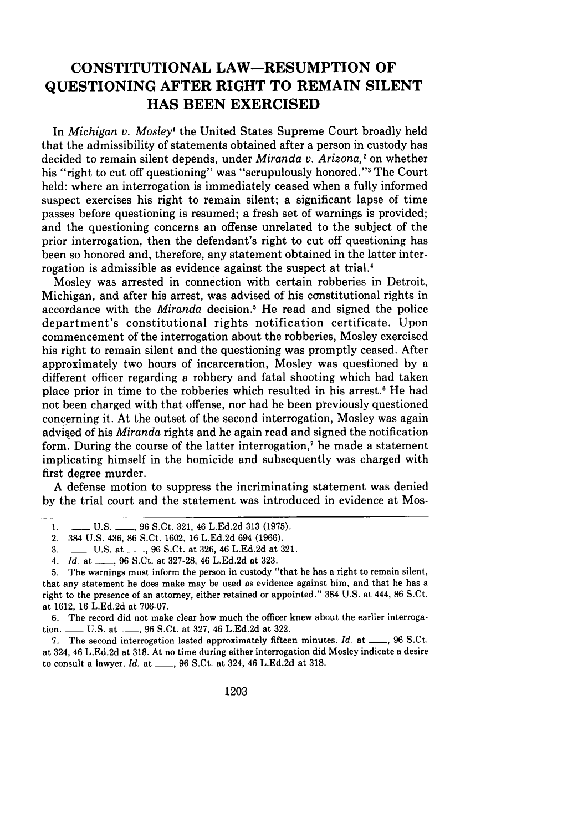## **CONSTITUTIONAL LAW-RESUMPTION OF QUESTIONING AFTER RIGHT TO REMAIN SILENT HAS BEEN EXERCISED**

In *Michigan v. Mosley'* the United States Supreme Court broadly held that the admissibility of statements obtained after a person in custody has decided to remain silent depends, under *Miranda v. Arizona,2* on whether his "right to cut off questioning" was "scrupulously honored." The Court held: where an interrogation is immediately ceased when a fully informed suspect exercises his right to remain silent; a significant lapse of time passes before questioning is resumed; a fresh set of warnings is provided; and the questioning concerns an offense unrelated to the subject of the prior interrogation, then the defendant's right to cut off questioning has been so honored and, therefore, any statement obtained in the latter interrogation is admissible as evidence against the suspect at trial.<sup>4</sup>

Mosley was arrested in connection with certain robberies in Detroit, Michigan, and after his arrest, was advised of his constitutional rights in accordance with the *Miranda* decision.5 He read and signed the police department's constitutional rights notification certificate. Upon commencement of the interrogation about the robberies, Mosley exercised his right to remain silent and the questioning was promptly ceased. After approximately two hours of incarceration, Mosley was questioned by a different officer regarding a robbery and fatal shooting which had taken place prior in time to the robberies which resulted in his arrest.' He had not been charged with that offense, nor had he been previously questioned concerning it. At the outset of the second interrogation, Mosley was again advised of his *Miranda* rights and he again read and signed the notification form. During the course of the latter interrogation,<sup>7</sup> he made a statement implicating himself in the homicide and subsequently was charged with first degree murder.

A defense motion to suppress the incriminating statement was denied by the trial court and the statement was introduced in evidence at Mos-

6. The record did not make clear how much the officer knew about the earlier interrogation. \_\_\_\_\_ U.S. at \_\_\_\_, 96 S.Ct. at 327, 46 L.Ed.2d at 322.

7. The second interrogation lasted approximately fifteen minutes. *Id.* at \_\_\_, 96 S.Ct. at 324, 46 L.Ed.2d at 318. At no time during either interrogation did Mosley indicate a desire to consult a lawyer. *Id.* at \_\_\_, 96 S.Ct. at 324, 46 L.Ed.2d at 318.

<sup>1.</sup> **-- U.S. --, 96 S.Ct. 321, 46 L.Ed.2d 313 (1975).** 

<sup>2. 384</sup> U.S. 436, 86 S.Ct. 1602, 16 L.Ed.2d 694 (1966).

<sup>3.</sup> **\_\_ U.S. at \_\_, 96 S.Ct. at 326, 46 L.Ed.2d at 321.** 

<sup>4.</sup> *Id.* at **- ,** 96 S.Ct. at 327-28, 46 L.Ed.2d at 323.

<sup>5.</sup> The warnings must inform the person in custody "that he has a right to remain silent, that any statement he does make may be used as evidence against him, and that he has a right to the presence of an attorney, either retained or appointed." 384 U.S. at 444, 86 S.Ct. at 1612, 16 L.Ed.2d at 706-07.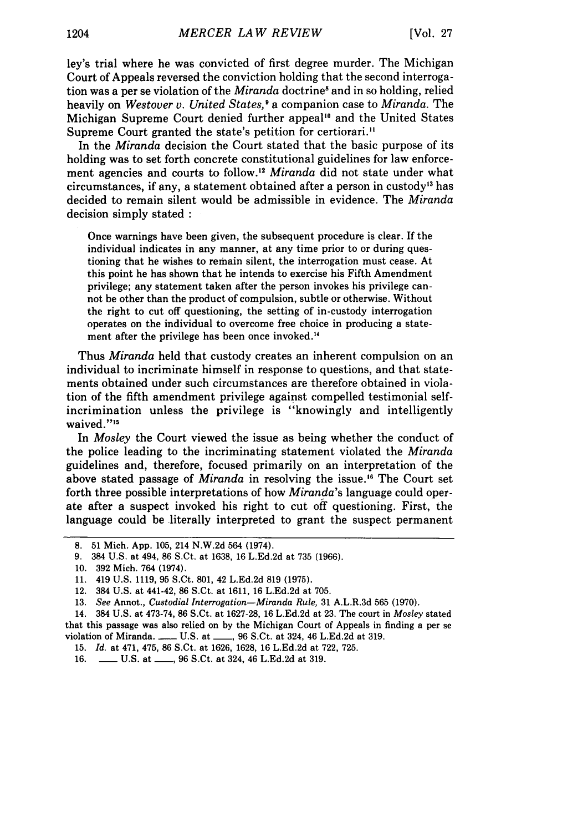ley's trial where he was convicted of first degree murder. The Michigan Court of Appeals reversed the conviction holding that the second interrogation was a per se violation of the *Miranda* doctrine<sup>8</sup> and in so holding, relied heavily on *Westover v. United States, I* a companion case to *Miranda.* The Michigan Supreme Court denied further appeal<sup>10</sup> and the United States Supreme Court granted the state's petition for certiorari."

In the *Miranda* decision the Court stated that the basic purpose of its holding was to set forth concrete constitutional guidelines for law enforcement agencies and courts to follow.<sup>12</sup> Miranda did not state under what circumstances, if any, a statement obtained after a person in custody<sup>13</sup> has decided to remain silent would be admissible in evidence. The *Miranda* decision simply stated **:**

Once warnings have been given, the subsequent procedure is clear. If the individual indicates in any manner, at any time prior to or during questioning that he wishes to remain silent, the interrogation must cease. At this point he has shown that he intends to exercise his Fifth Amendment privilege; any statement taken after the person invokes his privilege cannot be other than the product of compulsion, subtle or otherwise. Without the right to cut off questioning, the setting of in-custody interrogation operates on the individual to overcome free choice in producing a statement after the privilege has been once invoked.<sup>14</sup>

Thus *Miranda* held that custody creates an inherent compulsion on an individual to incriminate himself in response to questions, and that statements obtained under such circumstances are therefore obtained in violation of the fifth amendment privilege against compelled testimonial selfincrimination unless the privilege is "knowingly and intelligently waived."<sup>15</sup>

In *Mosley* the Court viewed the issue as being whether the conduct of the police leading to the incriminating statement violated the *Miranda* guidelines and, therefore, focused primarily on an interpretation of the above stated passage of *Miranda* in resolving the issue." The Court set forth three possible interpretations of how *Miranda's* language could operate after a suspect invoked his right to cut off questioning. First, the language could be literally interpreted to grant the suspect permanent

<sup>8. 51</sup> Mich. App. 105, 214 N.W.2d 564 (1974).

<sup>9. 384</sup> U.S. at 494, 86 S.Ct. at 1638, 16 L.Ed.2d at 735 (1966).

<sup>10. 392</sup> Mich. 764 (1974).

<sup>11. 419</sup> U.S. 1119, 95 S.Ct. 801, 42 L.Ed.2d 819 (1975).

<sup>12. 384</sup> U.S. at 441-42, 86 S.Ct. at 1611, 16 L.Ed.2d at 705.

**<sup>13.</sup>** *See* Annot., *Custodial Interrogation-Miranda Rule,* 31 A.L.R.3d 565 **(1970).**

<sup>14. 384</sup> U.S. at 473-74, 86 S.Ct. at 1627-28, 16 L.Ed.2d at 23. The court in *Mosley* stated that this passage was also relied on by the Michigan Court of Appeals in finding a per se violation of Miranda. \_\_\_\_ U.S. at \_\_\_, 96 S.Ct. at 324, 46 L.Ed.2d at 319.

<sup>15.</sup> *Id.* at 471, 475, 86 S.Ct. at 1626, 1628, 16 L.Ed.2d at 722, 725.

<sup>16.</sup> **\_\_ U.S. at \_\_, 96 S.Ct. at 324, 46 L.Ed.2d at 319.**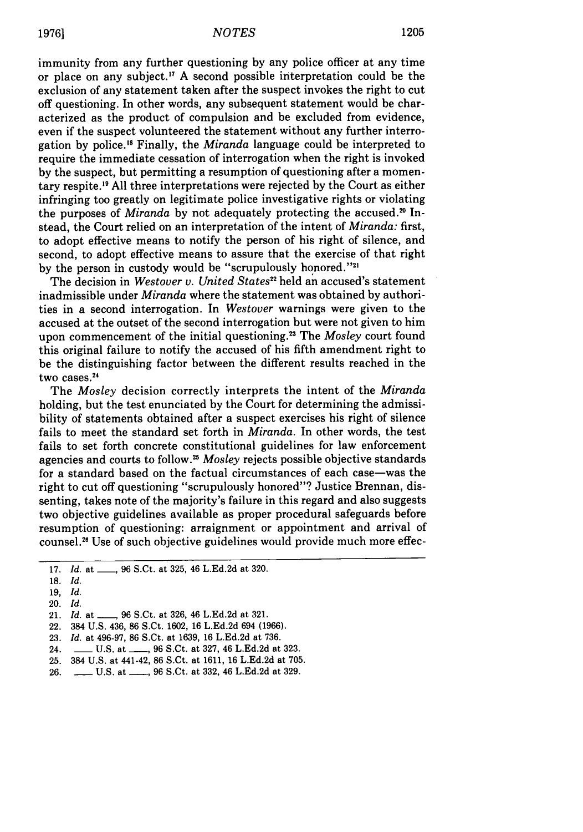immunity from any further questioning by any police officer at any time or place on any subject." A second possible interpretation could be the exclusion of any statement taken after the suspect invokes the right to cut off questioning. In other words, any subsequent statement would be characterized as the product of compulsion and be excluded from evidence, even if the suspect volunteered the statement without any further interrogation by police.<sup>18</sup> Finally, the *Miranda* language could be interpreted to require the immediate cessation of interrogation when the right is invoked by the suspect, but permitting a resumption of questioning after a momentary respite." All three interpretations were rejected by the Court as either infringing too greatly on legitimate police investigative rights or violating the purposes of *Miranda* by not adequately protecting the accused.<sup>20</sup> Instead, the Court relied on an interpretation of the intent of *Miranda:* first, to adopt effective means to notify the person of his right of silence, and second, to adopt effective means to assure that the exercise of that right by the person in custody would be "scrupulously honored."<sup>21</sup>

The decision in *Westover v. United States22* held an accused's statement inadmissible under *Miranda* where the statement was obtained by authorities in a second interrogation. In *Westover* warnings were given to the accused at the outset of the second interrogation but were not given to him upon commencement of the initial questioning.23 The *Mosley* court found this original failure to notify the accused of his fifth amendment right to be the distinguishing factor between the different results reached in the  $two cases.<sup>24</sup>$ 

The *Mosley* decision correctly interprets the intent of the *Miranda* holding, but the test enunciated by the Court for determining the admissibility of statements obtained after a suspect exercises his right of silence fails to meet the standard set forth in *Miranda.* In other words, the test fails to set forth concrete constitutional guidelines for law enforcement agencies and courts to follow.2 ' <sup>5</sup>*Mosley* rejects possible objective standards for a standard based on the factual circumstances of each case-was the right to cut off questioning "scrupulously honored"? Justice Brennan, dissenting, takes note of the majority's failure in this regard and also suggests two objective guidelines available as proper procedural safeguards before resumption of questioning: arraignment or appointment and arrival of counsel.26 Use of such objective guidelines would provide much more effec-

17. *Id.* at \_\_\_, 96 S.Ct. at 325, 46 L.Ed.2d at 320.

- 19, *Id.*
- 20. *Id.*
- 21. *Id.* at \_\_\_, 96 S.Ct. at 326, 46 L.Ed.2d at 321.
- 22. 384 U.S. 436, 86 S.Ct. 1602, 16 L.Ed.2d 694 (1966).
- 23. *Id.* at 496-97, 86 S.Ct. at 1639, 16 L.Ed.2d at 736.
- 24. **\_\_ U.S. at \_\_, 96 S.Ct. at 327, 46 L.Ed.2d at 323.**
- 25. 384 U.S. at 441-42, 86 S.Ct. at 1611, 16 L.Ed.2d at 705.
- 26. **-** U.S. at **- , 96 S.Ct. at 332, 46 L.Ed.2d at 329.**

**<sup>18.</sup>** *Id.*